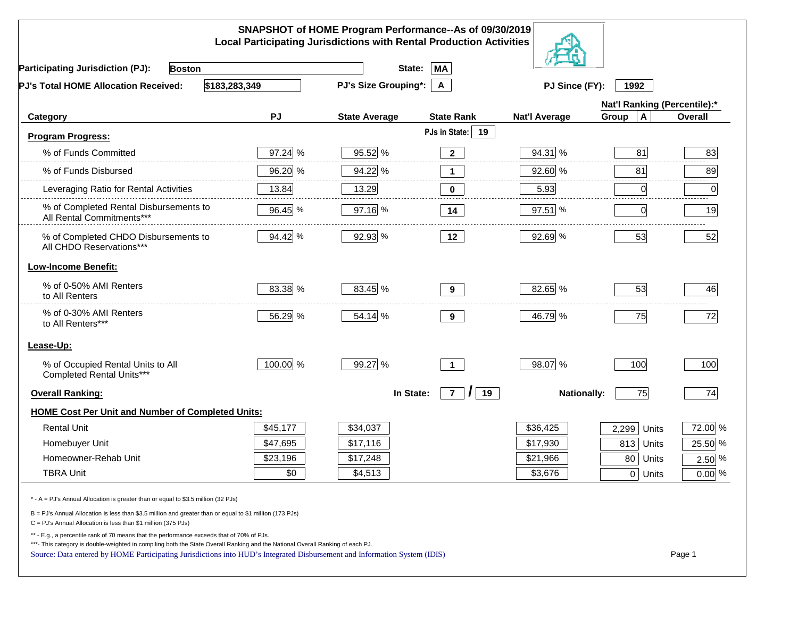|                                                                                                                                                                                                                                                                                                                                                          |          | SNAPSHOT of HOME Program Performance--As of 09/30/2019<br><b>Local Participating Jurisdictions with Rental Production Activities</b> |                           |                      |                              |          |
|----------------------------------------------------------------------------------------------------------------------------------------------------------------------------------------------------------------------------------------------------------------------------------------------------------------------------------------------------------|----------|--------------------------------------------------------------------------------------------------------------------------------------|---------------------------|----------------------|------------------------------|----------|
| <b>Participating Jurisdiction (PJ):</b><br><b>Boston</b>                                                                                                                                                                                                                                                                                                 |          | State:                                                                                                                               | MA                        |                      |                              |          |
| \$183,283,349<br>PJ's Total HOME Allocation Received:                                                                                                                                                                                                                                                                                                    |          | <b>PJ's Size Grouping*:</b>                                                                                                          | $\mathsf{A}$              | PJ Since (FY):       | 1992                         |          |
|                                                                                                                                                                                                                                                                                                                                                          |          |                                                                                                                                      |                           |                      | Nat'l Ranking (Percentile):* |          |
| Category                                                                                                                                                                                                                                                                                                                                                 | PJ       | <b>State Average</b>                                                                                                                 | <b>State Rank</b>         | <b>Nat'l Average</b> | $\mathbf{A}$<br>Group        | Overall  |
| <b>Program Progress:</b>                                                                                                                                                                                                                                                                                                                                 |          |                                                                                                                                      | PJs in State: 19          |                      |                              |          |
| % of Funds Committed                                                                                                                                                                                                                                                                                                                                     | 97.24 %  | 95.52 %                                                                                                                              | $\mathbf{2}$              | 94.31 %              | 81                           | 83       |
| % of Funds Disbursed                                                                                                                                                                                                                                                                                                                                     | 96.20 %  | 94.22 %                                                                                                                              | $\mathbf 1$               | 92.60 %              | 81                           | 89       |
| Leveraging Ratio for Rental Activities                                                                                                                                                                                                                                                                                                                   | 13.84    | 13.29                                                                                                                                | 0                         | 5.93                 | 0                            | .<br>0   |
| % of Completed Rental Disbursements to<br>All Rental Commitments***                                                                                                                                                                                                                                                                                      | 96.45 %  | 97.16 %                                                                                                                              | 14                        | 97.51 %              | $\Omega$                     | 19       |
| % of Completed CHDO Disbursements to<br>All CHDO Reservations***                                                                                                                                                                                                                                                                                         | 94.42 %  | 92.93 %                                                                                                                              | 12                        | 92.69 %              | 53                           | 52       |
| <b>Low-Income Benefit:</b>                                                                                                                                                                                                                                                                                                                               |          |                                                                                                                                      |                           |                      |                              |          |
| % of 0-50% AMI Renters<br>to All Renters                                                                                                                                                                                                                                                                                                                 | 83.38 %  | 83.45 %                                                                                                                              | 9                         | 82.65 %              | 53                           | 46       |
| % of 0-30% AMI Renters<br>to All Renters***                                                                                                                                                                                                                                                                                                              | 56.29 %  | 54.14 %                                                                                                                              | 9                         | 46.79 %              | 75                           | 72       |
| Lease-Up:                                                                                                                                                                                                                                                                                                                                                |          |                                                                                                                                      |                           |                      |                              |          |
| % of Occupied Rental Units to All<br>Completed Rental Units***                                                                                                                                                                                                                                                                                           | 100.00 % | 99.27 %                                                                                                                              | $\overline{1}$            | 98.07 %              | 100                          | 100      |
| <b>Overall Ranking:</b>                                                                                                                                                                                                                                                                                                                                  |          | In State:                                                                                                                            | $\overline{7}$<br>19<br>, | <b>Nationally:</b>   | 75                           | 74       |
| <b>HOME Cost Per Unit and Number of Completed Units:</b>                                                                                                                                                                                                                                                                                                 |          |                                                                                                                                      |                           |                      |                              |          |
| <b>Rental Unit</b>                                                                                                                                                                                                                                                                                                                                       | \$45,177 | \$34,037                                                                                                                             |                           | \$36,425             | 2,299<br>Units               | 72.00 %  |
| Homebuyer Unit                                                                                                                                                                                                                                                                                                                                           | \$47,695 | \$17,116                                                                                                                             |                           | \$17,930             | 813 Units                    | 25.50 %  |
| Homeowner-Rehab Unit                                                                                                                                                                                                                                                                                                                                     | \$23,196 | \$17,248                                                                                                                             |                           | \$21,966             | 80 Units                     | $2.50\%$ |
| <b>TBRA Unit</b>                                                                                                                                                                                                                                                                                                                                         | \$0      | \$4,513                                                                                                                              |                           | \$3,676              | $0$ Units                    | $0.00\%$ |
| * - A = PJ's Annual Allocation is greater than or equal to \$3.5 million (32 PJs)                                                                                                                                                                                                                                                                        |          |                                                                                                                                      |                           |                      |                              |          |
| B = PJ's Annual Allocation is less than \$3.5 million and greater than or equal to \$1 million (173 PJs)<br>$C = PJ's$ Annual Allocation is less than \$1 million (375 PJs)                                                                                                                                                                              |          |                                                                                                                                      |                           |                      |                              |          |
| ** - E.g., a percentile rank of 70 means that the performance exceeds that of 70% of PJs.<br>***- This category is double-weighted in compiling both the State Overall Ranking and the National Overall Ranking of each PJ.<br>Source: Data entered by HOME Participating Jurisdictions into HUD's Integrated Disbursement and Information System (IDIS) |          |                                                                                                                                      |                           |                      |                              | Page 1   |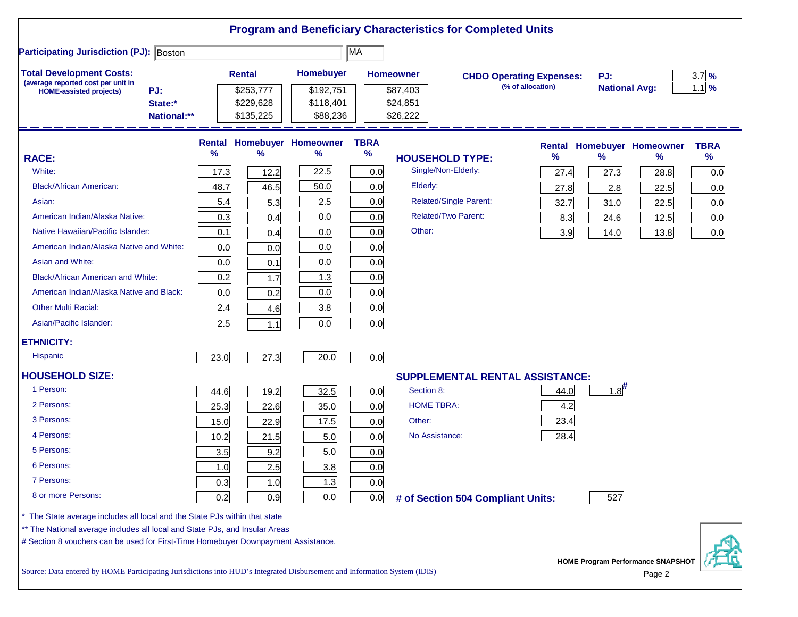| <b>Participating Jurisdiction (PJ): Boston</b>                                                                                                            |                        |      |                        |                                   | MA          |                        |                                   |                                                      |                             |                                   |                    |
|-----------------------------------------------------------------------------------------------------------------------------------------------------------|------------------------|------|------------------------|-----------------------------------|-------------|------------------------|-----------------------------------|------------------------------------------------------|-----------------------------|-----------------------------------|--------------------|
| <b>Total Development Costs:</b>                                                                                                                           |                        |      | <b>Rental</b>          | <b>Homebuyer</b>                  |             | <b>Homeowner</b>       |                                   |                                                      |                             |                                   |                    |
| (average reported cost per unit in                                                                                                                        |                        |      |                        |                                   |             |                        |                                   | <b>CHDO Operating Expenses:</b><br>(% of allocation) | PJ:<br><b>National Avg:</b> |                                   | $3.7\%$<br>$1.1\%$ |
| PJ:<br><b>HOME-assisted projects)</b>                                                                                                                     |                        |      | \$253,777              | \$192,751                         |             | \$87,403               |                                   |                                                      |                             |                                   |                    |
|                                                                                                                                                           | State:*<br>National:** |      | \$229,628<br>\$135,225 | \$118,401<br>\$88,236             |             | \$24,851<br>\$26,222   |                                   |                                                      |                             |                                   |                    |
|                                                                                                                                                           |                        |      |                        |                                   |             |                        |                                   |                                                      |                             |                                   |                    |
|                                                                                                                                                           |                        |      |                        | <b>Rental Homebuyer Homeowner</b> | <b>TBRA</b> |                        |                                   |                                                      |                             | <b>Rental Homebuyer Homeowner</b> | <b>TBRA</b>        |
| <b>RACE:</b>                                                                                                                                              |                        | %    | %                      | %                                 | $\%$        | <b>HOUSEHOLD TYPE:</b> |                                   | %                                                    | $\frac{9}{6}$               | %                                 | $\%$               |
| White:                                                                                                                                                    |                        | 17.3 | 12.2                   | 22.5                              | 0.0         |                        | Single/Non-Elderly:               | 27.4                                                 | 27.3                        | 28.8                              | 0.0                |
| <b>Black/African American:</b>                                                                                                                            |                        | 48.7 | 46.5                   | 50.0                              | 0.0         | Elderly:               |                                   | 27.8                                                 | 2.8                         | 22.5                              | 0.0                |
| Asian:                                                                                                                                                    |                        | 5.4  | 5.3                    | 2.5                               | 0.0         |                        | <b>Related/Single Parent:</b>     | 32.7                                                 | 31.0                        | 22.5                              | 0.0                |
| American Indian/Alaska Native:                                                                                                                            |                        | 0.3  | 0.4                    | 0.0                               | 0.0         |                        | <b>Related/Two Parent:</b>        | 8.3                                                  | 24.6                        | 12.5                              | 0.0                |
| Native Hawaiian/Pacific Islander:                                                                                                                         |                        | 0.1  | 0.4                    | 0.0                               | 0.0         | Other:                 |                                   | 3.9                                                  | 14.0                        | 13.8                              | 0.0                |
| American Indian/Alaska Native and White:                                                                                                                  |                        | 0.0  | 0.0                    | 0.0                               | 0.0         |                        |                                   |                                                      |                             |                                   |                    |
| Asian and White:                                                                                                                                          |                        | 0.0  | 0.1                    | 0.0                               | 0.0         |                        |                                   |                                                      |                             |                                   |                    |
| <b>Black/African American and White:</b>                                                                                                                  |                        | 0.2  | 1.7                    | 1.3                               | 0.0         |                        |                                   |                                                      |                             |                                   |                    |
| American Indian/Alaska Native and Black:                                                                                                                  |                        | 0.0  | 0.2                    | 0.0                               | 0.0         |                        |                                   |                                                      |                             |                                   |                    |
| <b>Other Multi Racial:</b>                                                                                                                                |                        | 2.4  | 4.6                    | 3.8                               | 0.0         |                        |                                   |                                                      |                             |                                   |                    |
| Asian/Pacific Islander:                                                                                                                                   |                        | 2.5  | $1.1$                  | 0.0                               | 0.0         |                        |                                   |                                                      |                             |                                   |                    |
| <b>ETHNICITY:</b>                                                                                                                                         |                        |      |                        |                                   |             |                        |                                   |                                                      |                             |                                   |                    |
| <b>Hispanic</b>                                                                                                                                           |                        | 23.0 | 27.3                   | 20.0                              | 0.0         |                        |                                   |                                                      |                             |                                   |                    |
| <b>HOUSEHOLD SIZE:</b>                                                                                                                                    |                        |      |                        |                                   |             |                        |                                   | <b>SUPPLEMENTAL RENTAL ASSISTANCE:</b>               |                             |                                   |                    |
| 1 Person:                                                                                                                                                 |                        | 44.6 | 19.2                   | 32.5                              | 0.0         | Section 8:             |                                   | 44.0                                                 | 1.8                         |                                   |                    |
| 2 Persons:                                                                                                                                                |                        | 25.3 | 22.6                   | 35.0                              | 0.0         | <b>HOME TBRA:</b>      |                                   | 4.2                                                  |                             |                                   |                    |
| 3 Persons:                                                                                                                                                |                        | 15.0 | 22.9                   | 17.5                              | 0.0         | Other:                 |                                   | 23.4                                                 |                             |                                   |                    |
| 4 Persons:                                                                                                                                                |                        | 10.2 | 21.5                   | 5.0                               | 0.0         | No Assistance:         |                                   | 28.4                                                 |                             |                                   |                    |
| 5 Persons:                                                                                                                                                |                        | 3.5  | 9.2                    | 5.0                               | 0.0         |                        |                                   |                                                      |                             |                                   |                    |
| 6 Persons:                                                                                                                                                |                        | 1.0  | 2.5                    | 3.8                               | 0.0         |                        |                                   |                                                      |                             |                                   |                    |
| 7 Persons:                                                                                                                                                |                        | 0.3  | 1.0                    | 1.3                               | 0.0         |                        |                                   |                                                      |                             |                                   |                    |
| 8 or more Persons:                                                                                                                                        |                        | 0.2  | 0.9                    | 0.0                               | 0.0         |                        | # of Section 504 Compliant Units: |                                                      | 527                         |                                   |                    |
|                                                                                                                                                           |                        |      |                        |                                   |             |                        |                                   |                                                      |                             |                                   |                    |
| * The State average includes all local and the State PJs within that state<br>** The National average includes all local and State PJs, and Insular Areas |                        |      |                        |                                   |             |                        |                                   |                                                      |                             |                                   |                    |
| # Section 8 vouchers can be used for First-Time Homebuyer Downpayment Assistance.                                                                         |                        |      |                        |                                   |             |                        |                                   |                                                      |                             |                                   |                    |

Source: Data entered by HOME Participating Jurisdictions into HUD's Integrated Disbursement and Information System (IDIS) Page 2